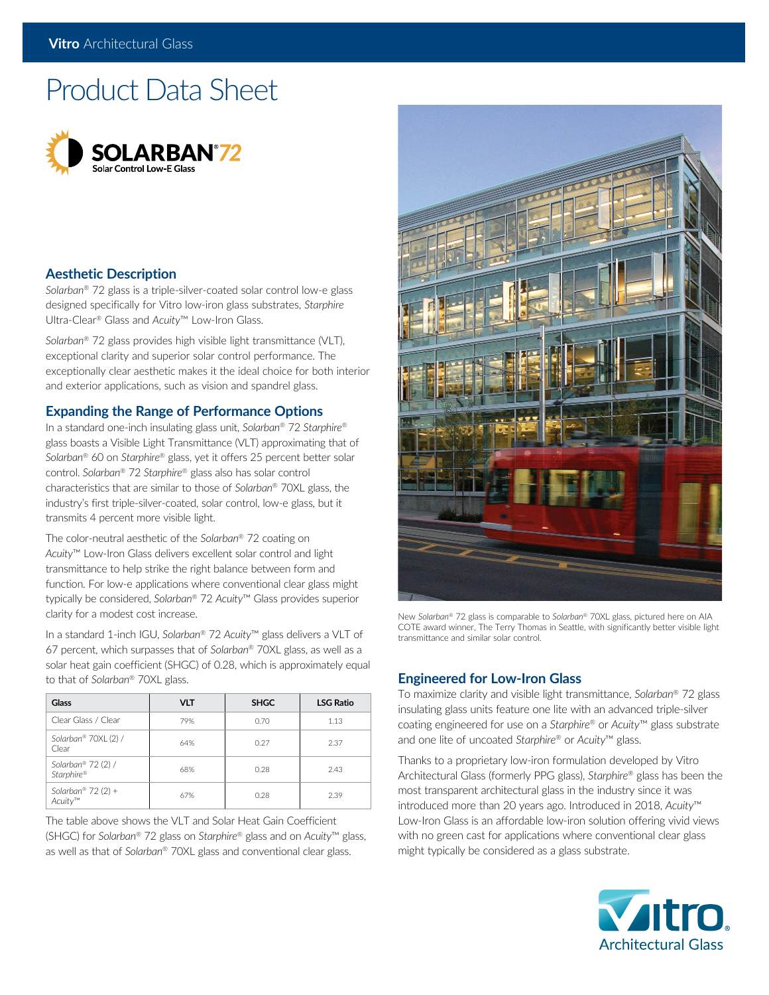# Product Data Sheet



# **Aesthetic Description**

*Solarban*® 72 glass is a triple-silver-coated solar control low-e glass designed specifically for Vitro low-iron glass substrates, *Starphire* Ultra-Clear® Glass and *Acuity*™ Low-Iron Glass.

*Solarban*® 72 glass provides high visible light transmittance (VLT), exceptional clarity and superior solar control performance. The exceptionally clear aesthetic makes it the ideal choice for both interior and exterior applications, such as vision and spandrel glass.

## **Expanding the Range of Performance Options**

In a standard one-inch insulating glass unit, *Solarban*® 72 *Starphire*® glass boasts a Visible Light Transmittance (VLT) approximating that of *Solarban*® 60 on *Starphire*® glass, yet it offers 25 percent better solar control. *Solarban*® 72 *Starphire*® glass also has solar control characteristics that are similar to those of *Solarban*® 70XL glass, the industry's first triple-silver-coated, solar control, low-e glass, but it transmits 4 percent more visible light.

The color-neutral aesthetic of the *Solarban*® 72 coating on *Acuity*™ Low-Iron Glass delivers excellent solar control and light transmittance to help strike the right balance between form and function. For low-e applications where conventional clear glass might typically be considered, *Solarban*® 72 *Acuity*™ Glass provides superior clarity for a modest cost increase.

In a standard 1-inch IGU, *Solarban*® 72 *Acuity*™ glass delivers a VLT of 67 percent, which surpasses that of *Solarban*® 70XL glass, as well as a solar heat gain coefficient (SHGC) of 0.28, which is approximately equal to that of *Solarban*® 70XL glass.

| Glass                            | <b>VLT</b> | <b>SHGC</b> | <b>LSG Ratio</b> |  |
|----------------------------------|------------|-------------|------------------|--|
| Clear Glass / Clear              | 79%        | 0.70        | 1.13             |  |
| Solarban® 70XL (2) /<br>Clear    | 64%        | 0.27        | 2.37             |  |
| Solarban® 72 (2) /<br>Starphire® | 68%        | 0.28        | 2.43             |  |
| Solarban® $72(2)$ +<br>Acuity™   | 67%        | 0.28        | 2.39             |  |

The table above shows the VLT and Solar Heat Gain Coefficient (SHGC) for *Solarban*® 72 glass on *Starphire*® glass and on *Acuity*™ glass, as well as that of *Solarban*® 70XL glass and conventional clear glass.



New *Solarban*® 72 glass is comparable to *Solarban®* 70XL glass, pictured here on AIA COTE award winner, The Terry Thomas in Seattle, with significantly better visible light transmittance and similar solar control.

# **Engineered for Low-Iron Glass**

To maximize clarity and visible light transmittance, *Solarban*® 72 glass insulating glass units feature one lite with an advanced triple-silver coating engineered for use on a *Starphire*® or *Acuity*™ glass substrate and one lite of uncoated *Starphire*® or *Acuity*™ glass.

Thanks to a proprietary low-iron formulation developed by Vitro Architectural Glass (formerly PPG glass), *Starphire*® glass has been the most transparent architectural glass in the industry since it was introduced more than 20 years ago. Introduced in 2018, *Acuity*™ Low-Iron Glass is an affordable low-iron solution offering vivid views with no green cast for applications where conventional clear glass might typically be considered as a glass substrate.